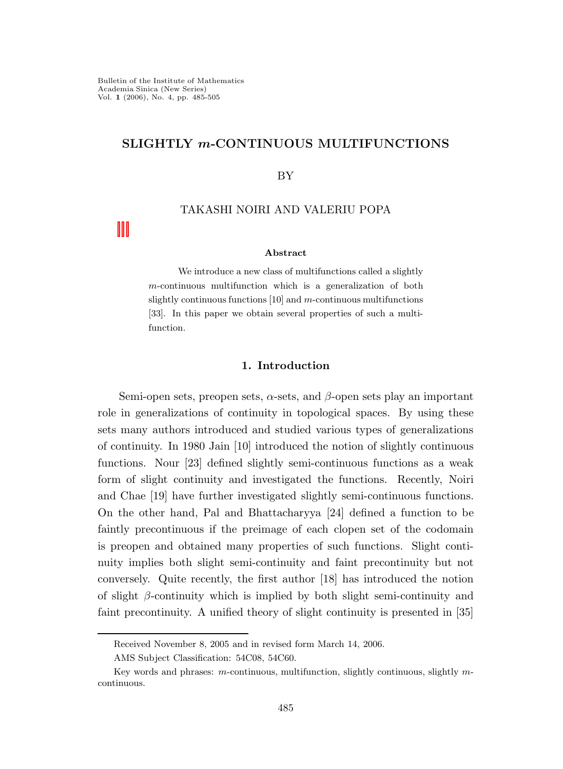# SLIGHTLY m-CONTINUOUS MULTIFUNCTIONS

### BY

## TAKASHI NOIRI AND VALERIU POPA

### Abstract

We introduce a new class of multifunctions called a slightly m-continuous multifunction which is a generalization of both slightly continuous functions [10] and m-continuous multifunctions [33]. In this paper we obtain several properties of such a multifunction.

### 1. Introduction

Semi-open sets, preopen sets,  $\alpha$ -sets, and  $\beta$ -open sets play an important role in generalizations of continuity in topological spaces. By using these sets many authors introduced and studied various types of generalizations of continuity. In 1980 Jain [10] introduced the notion of slightly continuous functions. Nour [23] defined slightly semi-continuous functions as a weak form of slight continuity and investigated the functions. Recently, Noiri and Chae [19] have further investigated slightly semi-continuous functions. On the other hand, Pal and Bhattacharyya [24] defined a function to be faintly precontinuous if the preimage of each clopen set of the codomain is preopen and obtained many properties of such functions. Slight continuity implies both slight semi-continuity and faint precontinuity but not conversely. Quite recently, the first author [18] has introduced the notion of slight  $\beta$ -continuity which is implied by both slight semi-continuity and faint precontinuity. A unified theory of slight continuity is presented in [35]

Received November 8, 2005 and in revised form March 14, 2006.

AMS Subject Classification: 54C08, 54C60.

Key words and phrases: m-continuous, multifunction, slightly continuous, slightly mcontinuous.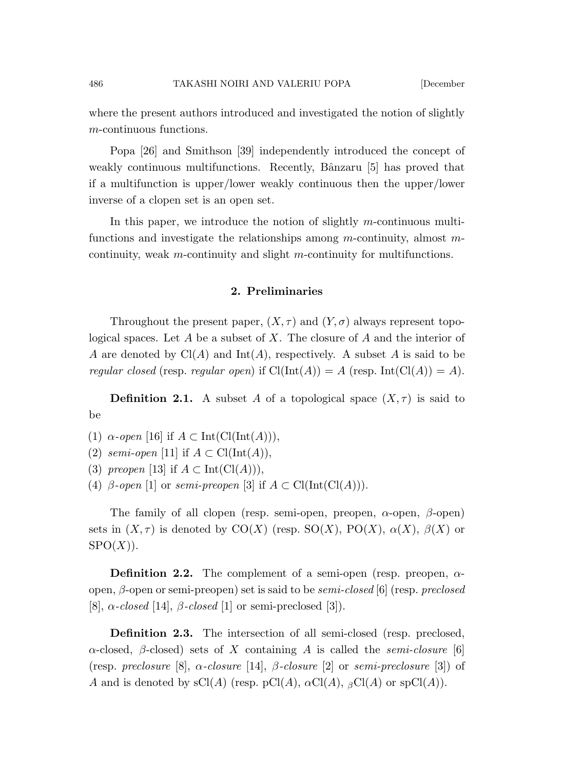where the present authors introduced and investigated the notion of slightly m-continuous functions.

Popa [26] and Smithson [39] independently introduced the concept of weakly continuous multifunctions. Recently, Bânzaru [5] has proved that if a multifunction is upper/lower weakly continuous then the upper/lower inverse of a clopen set is an open set.

In this paper, we introduce the notion of slightly m-continuous multifunctions and investigate the relationships among  $m$ -continuity, almost  $m$ continuity, weak m-continuity and slight m-continuity for multifunctions.

# 2. Preliminaries

Throughout the present paper,  $(X, \tau)$  and  $(Y, \sigma)$  always represent topological spaces. Let  $A$  be a subset of  $X$ . The closure of  $A$  and the interior of A are denoted by  $Cl(A)$  and  $Int(A)$ , respectively. A subset A is said to be regular closed (resp. regular open) if  $\text{Cl}(\text{Int}(A)) = A$  (resp.  $\text{Int}(\text{Cl}(A)) = A$ ).

**Definition 2.1.** A subset A of a topological space  $(X, \tau)$  is said to be

- (1)  $\alpha$ -open [16] if  $A \subset \text{Int}(\text{Cl}(\text{Int}(A))),$
- (2) semi-open [11] if  $A \subset \text{Cl}(\text{Int}(A)),$
- (3) preopen [13] if  $A \subset \text{Int}(\text{Cl}(A))),$
- (4) β-open [1] or semi-preopen [3] if  $A \subset Cl(\text{Int}(Cl(A))).$

The family of all clopen (resp. semi-open, preopen,  $\alpha$ -open,  $\beta$ -open) sets in  $(X, \tau)$  is denoted by CO(X) (resp. SO(X), PO(X),  $\alpha(X)$ ,  $\beta(X)$  or  $SPO(X)$ ).

**Definition 2.2.** The complement of a semi-open (resp. preopen,  $\alpha$ open,  $\beta$ -open or semi-preopen) set is said to be *semi-closed* [6] (resp. preclosed [8],  $\alpha$ -closed [14],  $\beta$ -closed [1] or semi-preclosed [3]).

Definition 2.3. The intersection of all semi-closed (resp. preclosed, α-closed, β-closed) sets of X containing A is called the semi-closure [6] (resp. preclosure [8],  $\alpha$ -closure [14],  $\beta$ -closure [2] or semi-preclosure [3]) of A and is denoted by  $sCl(A)$  (resp.  $pCl(A)$ ,  $\alpha Cl(A)$ ,  $\beta Cl(A)$  or  $spCl(A)$ ).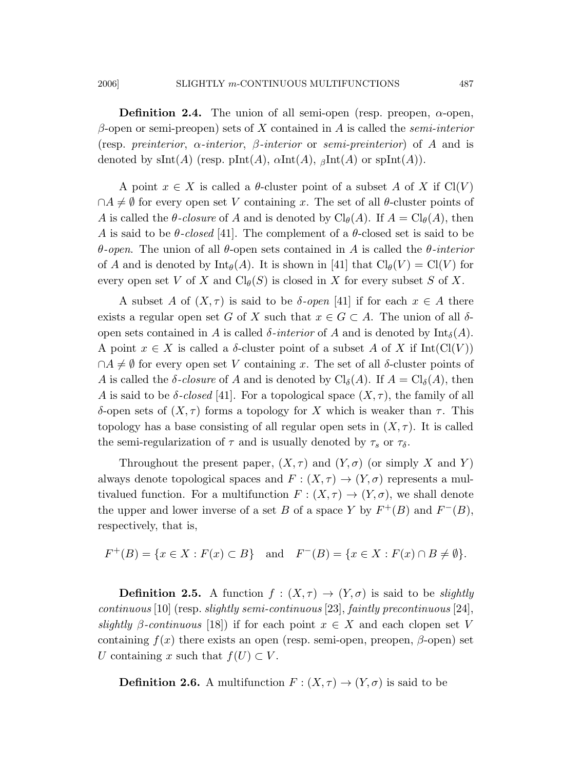**Definition 2.4.** The union of all semi-open (resp. preopen,  $\alpha$ -open,  $β$ -open or semi-preopen) sets of X contained in A is called the *semi-interior* (resp. preinterior,  $\alpha$ -interior,  $\beta$ -interior or semi-preinterior) of A and is denoted by sInt(A) (resp. pInt(A),  $\alpha$ Int(A),  $\beta$ Int(A) or spInt(A)).

A point  $x \in X$  is called a  $\theta$ -cluster point of a subset A of X if Cl(V)  $\cap A \neq \emptyset$  for every open set V containing x. The set of all  $\theta$ -cluster points of A is called the  $\theta$ -closure of A and is denoted by  $\text{Cl}_{\theta}(A)$ . If  $A = \text{Cl}_{\theta}(A)$ , then A is said to be  $\theta$ -closed [41]. The complement of a  $\theta$ -closed set is said to be θ-open. The union of all θ-open sets contained in A is called the θ-interior of A and is denoted by  $\text{Int}_{\theta}(A)$ . It is shown in [41] that  $\text{Cl}_{\theta}(V) = \text{Cl}(V)$  for every open set V of X and  $Cl_{\theta}(S)$  is closed in X for every subset S of X.

A subset A of  $(X, \tau)$  is said to be  $\delta$ -open [41] if for each  $x \in A$  there exists a regular open set G of X such that  $x \in G \subset A$ . The union of all  $\delta$ open sets contained in A is called  $\delta$ -interior of A and is denoted by  $\text{Int}_{\delta}(A)$ . A point  $x \in X$  is called a  $\delta$ -cluster point of a subset A of X if Int(Cl(V))  $\cap A \neq \emptyset$  for every open set V containing x. The set of all  $\delta$ -cluster points of A is called the  $\delta$ -closure of A and is denoted by  $\text{Cl}_{\delta}(A)$ . If  $A = \text{Cl}_{\delta}(A)$ , then A is said to be  $\delta$ -closed [41]. For a topological space  $(X, \tau)$ , the family of all δ-open sets of  $(X, τ)$  forms a topology for X which is weaker than τ. This topology has a base consisting of all regular open sets in  $(X, \tau)$ . It is called the semi-regularization of  $\tau$  and is usually denoted by  $\tau_s$  or  $\tau_{\delta}$ .

Throughout the present paper,  $(X, \tau)$  and  $(Y, \sigma)$  (or simply X and Y) always denote topological spaces and  $F : (X, \tau) \to (Y, \sigma)$  represents a multivalued function. For a multifunction  $F: (X, \tau) \to (Y, \sigma)$ , we shall denote the upper and lower inverse of a set B of a space Y by  $F^+(B)$  and  $F^-(B)$ , respectively, that is,

$$
F^+(B) = \{x \in X : F(x) \subset B\}
$$
 and  $F^-(B) = \{x \in X : F(x) \cap B \neq \emptyset\}.$ 

**Definition 2.5.** A function  $f : (X, \tau) \to (Y, \sigma)$  is said to be *slightly* continuous [10] (resp. slightly semi-continuous [23], faintly precontinuous [24], slightly  $\beta$ -continuous [18]) if for each point  $x \in X$  and each clopen set V containing  $f(x)$  there exists an open (resp. semi-open, preopen,  $\beta$ -open) set U containing x such that  $f(U) \subset V$ .

**Definition 2.6.** A multifunction  $F : (X, \tau) \to (Y, \sigma)$  is said to be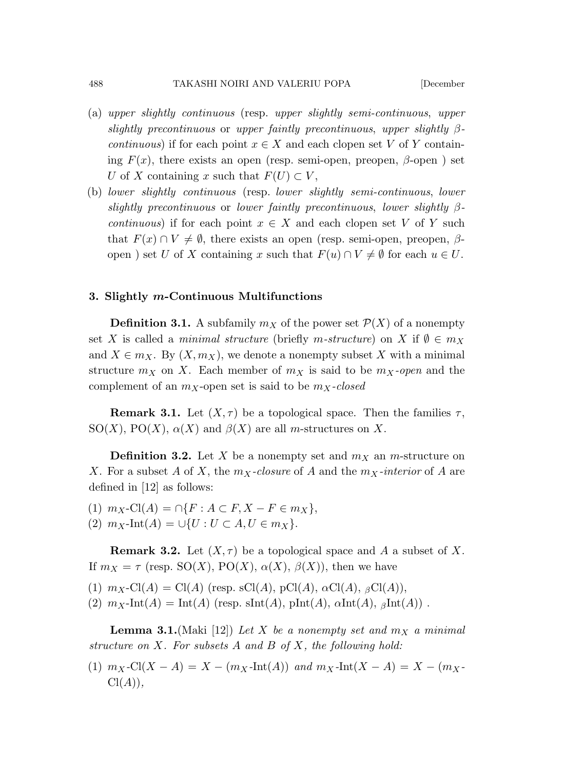- (a) upper slightly continuous (resp. upper slightly semi-continuous, upper slightly precontinuous or upper faintly precontinuous, upper slightly  $\beta$ *continuous*) if for each point  $x \in X$  and each clopen set V of Y containing  $F(x)$ , there exists an open (resp. semi-open, preopen,  $\beta$ -open) set U of X containing x such that  $F(U) \subset V$ ,
- (b) lower slightly continuous (resp. lower slightly semi-continuous, lower slightly precontinuous or lower faintly precontinuous, lower slightly  $\beta$ *continuous*) if for each point  $x \in X$  and each clopen set V of Y such that  $F(x) \cap V \neq \emptyset$ , there exists an open (resp. semi-open, preopen,  $\beta$ open) set U of X containing x such that  $F(u) \cap V \neq \emptyset$  for each  $u \in U$ .

### 3. Slightly m-Continuous Multifunctions

**Definition 3.1.** A subfamily  $m_X$  of the power set  $\mathcal{P}(X)$  of a nonempty set X is called a minimal structure (briefly m-structure) on X if  $\emptyset \in m_X$ and  $X \in m_X$ . By  $(X, m_X)$ , we denote a nonempty subset X with a minimal structure  $m_X$  on X. Each member of  $m_X$  is said to be  $m_X$ -open and the complement of an  $m_X$ -open set is said to be  $m_X$ -closed

**Remark 3.1.** Let  $(X, \tau)$  be a topological space. Then the families  $\tau$ , SO(X), PO(X),  $\alpha(X)$  and  $\beta(X)$  are all m-structures on X.

**Definition 3.2.** Let X be a nonempty set and  $m<sub>X</sub>$  an m-structure on X. For a subset A of X, the  $m<sub>X</sub>$ -closure of A and the  $m<sub>X</sub>$ -interior of A are defined in [12] as follows:

(1)  $m_X$ -Cl(A) = ∩{F : A ⊂ F, X – F ∈  $m_X$ }, (2)  $m_X$ -Int(A) =  $\bigcup \{U : U \subset A, U \in m_X\}.$ 

**Remark 3.2.** Let  $(X, \tau)$  be a topological space and A a subset of X. If  $m_X = \tau$  (resp. SO(X), PO(X),  $\alpha(X)$ ,  $\beta(X)$ ), then we have

(1)  $m_X\text{-Cl}(A) = \text{Cl}(A)$  (resp. sCl(A), pCl(A),  $\alpha\text{Cl}(A)$ ,  $\beta\text{Cl}(A)$ ),

(2)  $m_X\text{-Int}(A) = \text{Int}(A)$  (resp. sInt(A),  $\text{plnt}(A)$ ,  $\alpha\text{Int}(A)$ ,  $\beta\text{Int}(A)$ ).

**Lemma 3.1.** (Maki [12]) Let X be a nonempty set and  $m_X$  a minimal structure on  $X$ . For subsets  $A$  and  $B$  of  $X$ , the following hold:

(1)  $m_X\text{-}Cl(X - A) = X - (m_X\text{-}Int(A))$  and  $m_X\text{-}Int(X - A) = X - (m_X\text{-}Int(A))$  $Cl(A)$ ).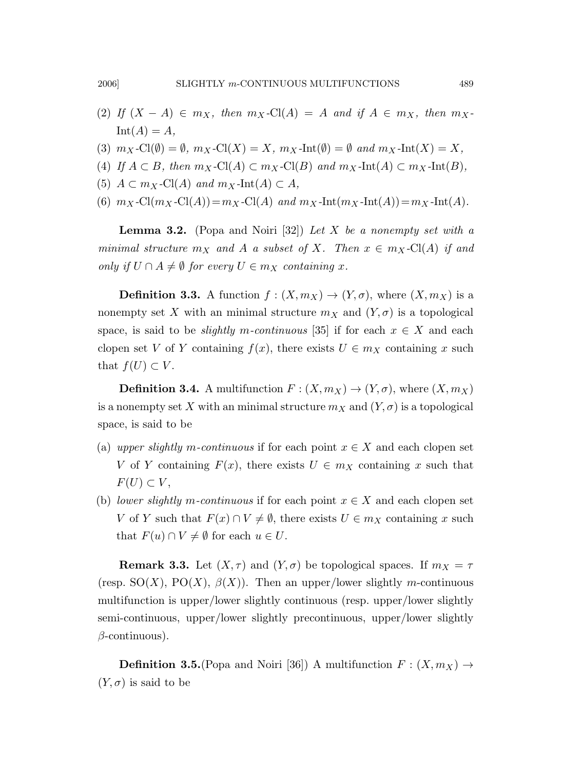- (2) If  $(X A) \in m_X$ , then  $m_X$ -Cl(A) = A and if  $A \in m_X$ , then  $m_X$ - $Int(A) = A$ ,
- (3)  $m_X\text{-Cl}(\emptyset) = \emptyset$ ,  $m_X\text{-Cl}(X) = X$ ,  $m_X\text{-Int}(\emptyset) = \emptyset$  and  $m_X\text{-Int}(X) = X$ ,
- (4) If  $A \subset B$ , then  $m_X$ -Cl(A)  $\subset m_X$ -Cl(B) and  $m_X$ -Int(A)  $\subset m_X$ -Int(B),
- (5)  $A \subset m_X$ -Cl(A) and  $m_X$ -Int(A)  $\subset A$ ,
- (6)  $m_X\text{-Cl}(m_X\text{-Cl}(A))=m_X\text{-Cl}(A)$  and  $m_X\text{-Int}(m_X\text{-Int}(A))=m_X\text{-Int}(A)$ .

**Lemma 3.2.** (Popa and Noiri [32]) Let X be a nonempty set with a minimal structure  $m_X$  and A a subset of X. Then  $x \in m_X$ -Cl(A) if and only if  $U \cap A \neq \emptyset$  for every  $U \in m_X$  containing x.

**Definition 3.3.** A function  $f : (X, m_X) \to (Y, \sigma)$ , where  $(X, m_X)$  is a nonempty set X with an minimal structure  $m_X$  and  $(Y, \sigma)$  is a topological space, is said to be *slightly m-continuous* [35] if for each  $x \in X$  and each clopen set V of Y containing  $f(x)$ , there exists  $U \in m_X$  containing x such that  $f(U) \subset V$ .

**Definition 3.4.** A multifunction  $F : (X, m_X) \to (Y, \sigma)$ , where  $(X, m_X)$ is a nonempty set X with an minimal structure  $m_X$  and  $(Y, \sigma)$  is a topological space, is said to be

- (a) upper slightly m-continuous if for each point  $x \in X$  and each clopen set V of Y containing  $F(x)$ , there exists  $U \in m_X$  containing x such that  $F(U) \subset V$ ,
- (b) lower slightly m-continuous if for each point  $x \in X$  and each clopen set V of Y such that  $F(x) \cap V \neq \emptyset$ , there exists  $U \in m_X$  containing x such that  $F(u) \cap V \neq \emptyset$  for each  $u \in U$ .

**Remark 3.3.** Let  $(X, \tau)$  and  $(Y, \sigma)$  be topological spaces. If  $m_X = \tau$ (resp.  $SO(X)$ ,  $PO(X)$ ,  $\beta(X)$ ). Then an upper/lower slightly m-continuous multifunction is upper/lower slightly continuous (resp. upper/lower slightly semi-continuous, upper/lower slightly precontinuous, upper/lower slightly  $\beta$ -continuous).

**Definition 3.5.**(Popa and Noiri [36]) A multifunction  $F : (X, m_X) \rightarrow$  $(Y, \sigma)$  is said to be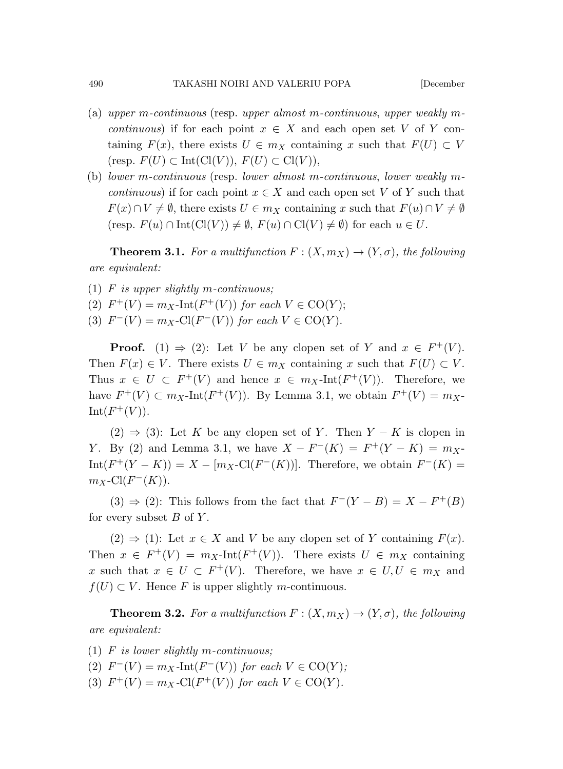- (a) upper m-continuous (resp. upper almost m-continuous, upper weakly mcontinuous) if for each point  $x \in X$  and each open set V of Y containing  $F(x)$ , there exists  $U \in m_X$  containing x such that  $F(U) \subset V$ (resp.  $F(U) \subset \text{Int}(\text{Cl}(V)), F(U) \subset \text{Cl}(V)$ ),
- (b) lower m-continuous (resp. lower almost m-continuous, lower weakly m*continuous*) if for each point  $x \in X$  and each open set V of Y such that  $F(x) \cap V \neq \emptyset$ , there exists  $U \in m_X$  containing x such that  $F(u) \cap V \neq \emptyset$  $(\text{resp. } F(u) \cap \text{Int}(\text{Cl}(V)) \neq \emptyset, F(u) \cap \text{Cl}(V) \neq \emptyset)$  for each  $u \in U$ .

**Theorem 3.1.** For a multifunction  $F : (X, m_X) \to (Y, \sigma)$ , the following are equivalent:

- (1)  $F$  is upper slightly m-continuous;
- (2)  $F^+(V) = m_X\text{-Int}(F^+(V))$  for each  $V \in \text{CO}(Y)$ ;
- (3)  $F^{-}(V) = m_X\text{-Cl}(F^{-}(V))$  for each  $V \in \text{CO}(Y)$ .

**Proof.** (1)  $\Rightarrow$  (2): Let V be any clopen set of Y and  $x \in F^+(V)$ . Then  $F(x) \in V$ . There exists  $U \in m_X$  containing x such that  $F(U) \subset V$ . Thus  $x \in U \subset F^+(V)$  and hence  $x \in m_X\text{-Int}(F^+(V))$ . Therefore, we have  $F^+(V) \subset m_X\text{-Int}(F^+(V))$ . By Lemma 3.1, we obtain  $F^+(V) = m_X\text{-}$  $Int(F^+(V)).$ 

 $(2) \Rightarrow (3)$ : Let K be any clopen set of Y. Then Y – K is clopen in *Y*. By (2) and Lemma 3.1, we have  $X - F^{-}(K) = F^{+}(Y - K) = m_X$  $Int(F^+(Y-K)) = X - [m_X\text{-}Cl(F^-(K))]$ . Therefore, we obtain  $F^-(K) =$  $m_X$ -Cl( $F^-(K)$ ).

 $(3) \Rightarrow (2)$ : This follows from the fact that  $F^{-}(Y - B) = X - F^{+}(B)$ for every subset  $B$  of  $Y$ .

 $(2) \Rightarrow (1)$ : Let  $x \in X$  and V be any clopen set of Y containing  $F(x)$ . Then  $x \in F^+(V) = m_X\text{-Int}(F^+(V))$ . There exists  $U \in m_X$  containing x such that  $x \in U \subset F^+(V)$ . Therefore, we have  $x \in U, U \in m_X$  and  $f(U) \subset V$ . Hence F is upper slightly m-continuous.

**Theorem 3.2.** For a multifunction  $F: (X, m_X) \to (Y, \sigma)$ , the following are equivalent:

- (1)  $F$  is lower slightly m-continuous;
- (2)  $F^{-}(V) = m_X \text{-Int}(F^{-}(V))$  for each  $V \in \text{CO}(Y)$ ;
- (3)  $F^+(V) = m_X\text{-Cl}(F^+(V))$  for each  $V \in \text{CO}(Y)$ .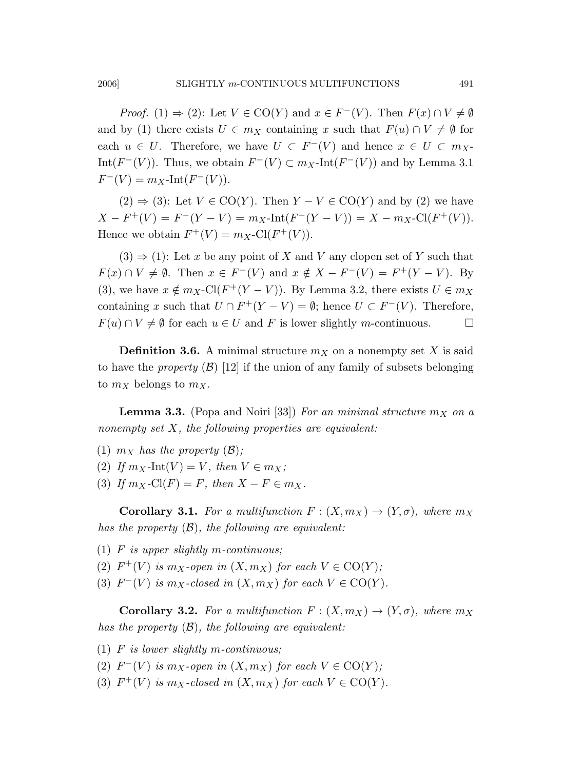*Proof.* (1)  $\Rightarrow$  (2): Let  $V \in \text{CO}(Y)$  and  $x \in F^{-}(V)$ . Then  $F(x) \cap V \neq \emptyset$ and by (1) there exists  $U \in m_X$  containing x such that  $F(u) \cap V \neq \emptyset$  for each  $u \in U$ . Therefore, we have  $U \subset F^{-}(V)$  and hence  $x \in U \subset m_X$ Int $(F^-(V))$ . Thus, we obtain  $F^-(V) \subset m_X$ -Int $(F^-(V))$  and by Lemma 3.1  $F^{-}(V) = m_X\text{-Int}(F^{-}(V)).$ 

 $(2) \Rightarrow (3)$ : Let  $V \in \text{CO}(Y)$ . Then  $Y - V \in \text{CO}(Y)$  and by  $(2)$  we have  $X - F^+(V) = F^-(Y - V) = m_X\text{-Int}(F^-(Y - V)) = X - m_X\text{-Cl}(F^+(V)).$ Hence we obtain  $F^+(V) = m_X\text{-Cl}(F^+(V)).$ 

 $(3) \Rightarrow (1)$ : Let x be any point of X and V any clopen set of Y such that  $F(x) \cap V \neq \emptyset$ . Then  $x \in F^-(V)$  and  $x \notin X - F^-(V) = F^+(Y - V)$ . By (3), we have  $x \notin m_X\text{-Cl}(F^+(Y-V))$ . By Lemma 3.2, there exists  $U \in m_X$ containing x such that  $U \cap F^+(Y - V) = \emptyset$ ; hence  $U \subset F^-(V)$ . Therefore,  $F(u) \cap V \neq \emptyset$  for each  $u \in U$  and F is lower slightly m-continuous.  $\Box$ 

**Definition 3.6.** A minimal structure  $m<sub>X</sub>$  on a nonempty set X is said to have the *property*  $(\mathcal{B})$  [12] if the union of any family of subsets belonging to  $m_X$  belongs to  $m_X$ .

**Lemma 3.3.** (Popa and Noiri [33]) For an minimal structure  $m_X$  on a nonempty set  $X$ , the following properties are equivalent:

- (1)  $m_X$  has the property  $(\mathcal{B})$ ;
- (2) If  $m_X$ -Int $(V) = V$ , then  $V \in m_X$ ;
- (3) If  $m_X$ -Cl(F) = F, then  $X F \in m_X$ .

**Corollary 3.1.** For a multifunction  $F : (X, m_X) \to (Y, \sigma)$ , where  $m_X$ has the property  $(\mathcal{B})$ , the following are equivalent:

- (1)  $F$  is upper slightly m-continuous;
- (2)  $F^+(V)$  is  $m_X$ -open in  $(X, m_X)$  for each  $V \in \text{CO}(Y)$ ;
- (3)  $F^-(V)$  is  $m_X$ -closed in  $(X, m_X)$  for each  $V \in \text{CO}(Y)$ .

**Corollary 3.2.** For a multifunction  $F : (X, m_X) \to (Y, \sigma)$ , where  $m_X$ has the property  $(\mathcal{B})$ , the following are equivalent:

- (1)  $F$  is lower slightly m-continuous;
- (2)  $F^-(V)$  is  $m_X$ -open in  $(X, m_X)$  for each  $V \in \text{CO}(Y)$ ;
- (3)  $F^+(V)$  is  $m_X$ -closed in  $(X, m_X)$  for each  $V \in \text{CO}(Y)$ .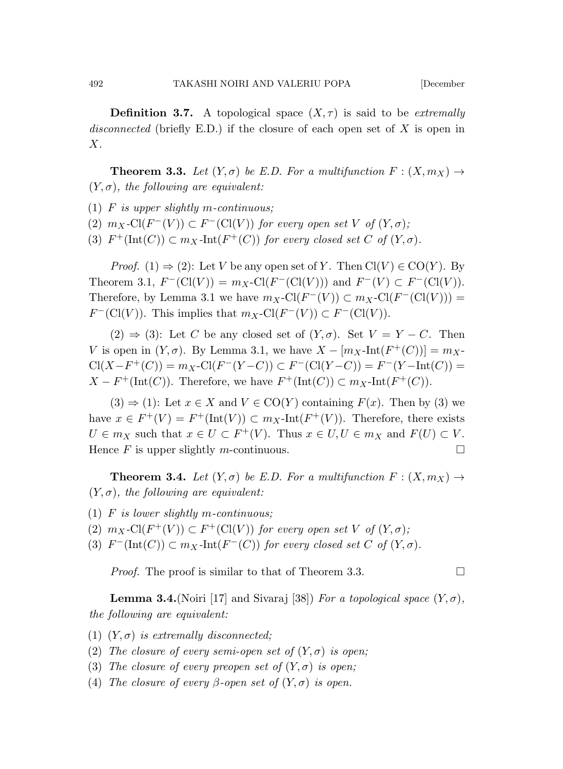**Definition 3.7.** A topological space  $(X, \tau)$  is said to be *extremally* disconnected (briefly E.D.) if the closure of each open set of  $X$  is open in X.

**Theorem 3.3.** Let  $(Y, \sigma)$  be E.D. For a multifunction  $F : (X, m_X) \to$  $(Y, \sigma)$ , the following are equivalent:

- (1) F is upper slightly m-continuous;
- (2)  $m_X\text{-}Cl(F^-(V)) \subset F^-(Cl(V))$  for every open set V of  $(Y, \sigma)$ ;
- (3)  $F^+(\text{Int}(C)) \subset m_X\text{-Int}(F^+(C))$  for every closed set C of  $(Y, \sigma)$ .

*Proof.* (1)  $\Rightarrow$  (2): Let V be any open set of Y. Then  $Cl(V) \in CO(Y)$ . By Theorem 3.1,  $F^{-}(\text{Cl}(V)) = m_X\text{-Cl}(F^{-}(\text{Cl}(V)))$  and  $F^{-}(V) \subset F^{-}(\text{Cl}(V))$ . Therefore, by Lemma 3.1 we have  $m_X\text{-}\mathrm{Cl}(F^-(V)) \subset m_X\text{-}\mathrm{Cl}(F^-(\mathrm{Cl}(V)))$  =  $F^-(Cl(V))$ . This implies that  $m_X\text{-}Cl(F^-(V)) \subset F^-(Cl(V))$ .

 $(2) \Rightarrow (3)$ : Let C be any closed set of  $(Y, \sigma)$ . Set  $V = Y - C$ . Then V is open in  $(Y, \sigma)$ . By Lemma 3.1, we have  $X - [m_X\text{-Int}(F^+(C))] = m_X\text{-}$  $Cl(X-F^+(C)) = m_X\text{-}Cl(F^-(Y-C)) \subset F^-(Cl(Y-C)) = F^-(Y-\text{Int}(C)) =$  $X - F^+(\text{Int}(C))$ . Therefore, we have  $F^+(\text{Int}(C)) \subset m_X\text{-Int}(F^+(C))$ .

 $(3) \Rightarrow (1)$ : Let  $x \in X$  and  $V \in CO(Y)$  containing  $F(x)$ . Then by (3) we have  $x \in F^+(V) = F^+(\text{Int}(V)) \subset m_X\text{-Int}(F^+(V))$ . Therefore, there exists  $U \in m_X$  such that  $x \in U \subset F^+(V)$ . Thus  $x \in U, U \in m_X$  and  $F(U) \subset V$ . Hence F is upper slightly m-continuous.  $\square$ 

**Theorem 3.4.** Let  $(Y, \sigma)$  be E.D. For a multifunction  $F : (X, m_X) \to$  $(Y, \sigma)$ , the following are equivalent:

- (1) F is lower slightly m-continuous;
- (2)  $m_X\text{-}Cl(F^+(V)) \subset F^+(Cl(V))$  for every open set V of  $(Y, \sigma)$ ;
- (3)  $F^-(\text{Int}(C)) \subset m_X\text{-Int}(F^-(C))$  for every closed set C of  $(Y, \sigma)$ .

*Proof.* The proof is similar to that of Theorem 3.3.

**Lemma 3.4.**(Noiri [17] and Sivaraj [38]) For a topological space  $(Y, \sigma)$ , the following are equivalent:

- (1)  $(Y, \sigma)$  is extremally disconnected;
- (2) The closure of every semi-open set of  $(Y, \sigma)$  is open;
- (3) The closure of every preopen set of  $(Y, \sigma)$  is open;
- (4) The closure of every β-open set of  $(Y, \sigma)$  is open.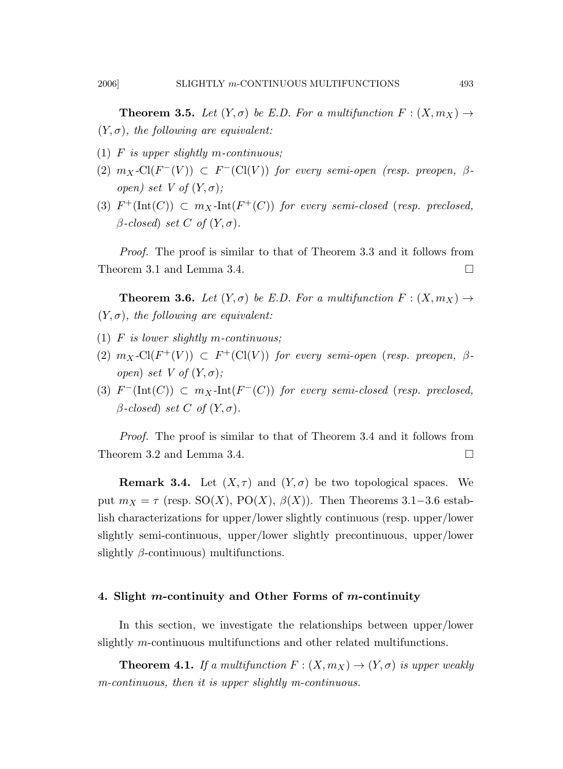**Theorem 3.5.** Let  $(Y, \sigma)$  be E.D. For a multifunction  $F : (X, m_X) \to$  $(Y, \sigma)$ , the following are equivalent:

- (1)  $F$  is upper slightly m-continuous;
- (2)  $m_X\text{-Cl}(F^-(V)) \subset F^-(Cl(V))$  for every semi-open (resp. preopen,  $\beta$ open) set V of  $(Y, \sigma)$ ;
- (3)  $F^+(\text{Int}(C)) \subset m_X\text{-Int}(F^+(C))$  for every semi-closed (resp. preclosed,  $\beta$ -closed) set C of  $(Y, \sigma)$ .

Proof. The proof is similar to that of Theorem 3.3 and it follows from Theorem 3.1 and Lemma 3.4.

**Theorem 3.6.** Let  $(Y, \sigma)$  be E.D. For a multifunction  $F : (X, m_X) \rightarrow$  $(Y, \sigma)$ , the following are equivalent:

- (1)  $F$  is lower slightly m-continuous;
- (2)  $m_X\text{-Cl}(F^+(V)) \subset F^+(\text{Cl}(V))$  for every semi-open (resp. preopen,  $\beta$ open) set V of  $(Y, \sigma)$ ;
- (3)  $F^{-}(\text{Int}(C)) \subset m_X\text{-Int}(F^{-}(C))$  for every semi-closed (resp. preclosed,  $\beta$ -closed) set C of  $(Y, \sigma)$ .

Proof. The proof is similar to that of Theorem 3.4 and it follows from Theorem 3.2 and Lemma 3.4.

**Remark 3.4.** Let  $(X, \tau)$  and  $(Y, \sigma)$  be two topological spaces. We put  $m_X = \tau$  (resp. SO(X), PO(X),  $\beta$ (X)). Then Theorems 3.1–3.6 establish characterizations for upper/lower slightly continuous (resp. upper/lower slightly semi-continuous, upper/lower slightly precontinuous, upper/lower slightly  $\beta$ -continuous) multifunctions.

## 4. Slight m-continuity and Other Forms of m-continuity

In this section, we investigate the relationships between upper/lower slightly m-continuous multifunctions and other related multifunctions.

**Theorem 4.1.** If a multifunction  $F : (X, m_X) \to (Y, \sigma)$  is upper weakly m-continuous, then it is upper slightly m-continuous.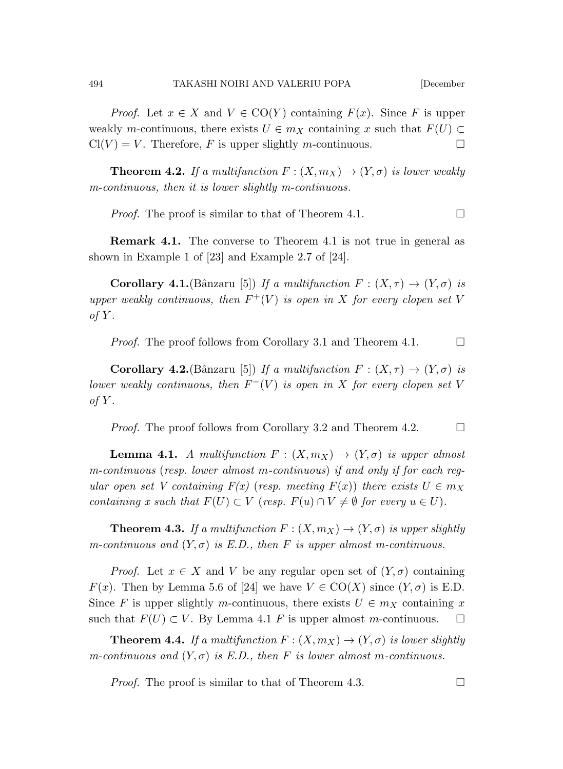*Proof.* Let  $x \in X$  and  $V \in \text{CO}(Y)$  containing  $F(x)$ . Since F is upper weakly m-continuous, there exists  $U \in m_X$  containing x such that  $F(U) \subset$  $Cl(V) = V$ . Therefore, F is upper slightly m-continuous.

**Theorem 4.2.** If a multifunction  $F : (X, m_X) \to (Y, \sigma)$  is lower weakly m-continuous, then it is lower slightly m-continuous.

*Proof.* The proof is similar to that of Theorem 4.1.  $\Box$ 

Remark 4.1. The converse to Theorem 4.1 is not true in general as shown in Example 1 of [23] and Example 2.7 of [24].

**Corollary 4.1.** (Bânzaru [5]) If a multifunction  $F : (X, \tau) \to (Y, \sigma)$  is upper weakly continuous, then  $F^+(V)$  is open in X for every clopen set V of  $Y$ .

*Proof.* The proof follows from Corollary 3.1 and Theorem 4.1.  $\Box$ 

**Corollary 4.2.**(Bânzaru [5]) If a multifunction  $F : (X, \tau) \to (Y, \sigma)$  is lower weakly continuous, then  $F^-(V)$  is open in X for every clopen set V of  $Y$ .

*Proof.* The proof follows from Corollary 3.2 and Theorem 4.2.  $\Box$ 

**Lemma 4.1.** A multifunction  $F : (X, m_X) \to (Y, \sigma)$  is upper almost m-continuous (resp. lower almost m-continuous) if and only if for each regular open set V containing  $F(x)$  (resp. meeting  $F(x)$ ) there exists  $U \in m_X$ containing x such that  $F(U) \subset V$  (resp.  $F(u) \cap V \neq \emptyset$  for every  $u \in U$ ).

**Theorem 4.3.** If a multifunction  $F : (X, m_X) \to (Y, \sigma)$  is upper slightly m-continuous and  $(Y, \sigma)$  is E.D., then F is upper almost m-continuous.

*Proof.* Let  $x \in X$  and V be any regular open set of  $(Y, \sigma)$  containing  $F(x)$ . Then by Lemma 5.6 of [24] we have  $V \in \text{CO}(X)$  since  $(Y, \sigma)$  is E.D. Since F is upper slightly m-continuous, there exists  $U \in m_X$  containing x such that  $F(U) \subset V$ . By Lemma 4.1 F is upper almost m-continuous.  $\square$ 

**Theorem 4.4.** If a multifunction  $F: (X, m_X) \to (Y, \sigma)$  is lower slightly m-continuous and  $(Y, \sigma)$  is E.D., then F is lower almost m-continuous.

*Proof.* The proof is similar to that of Theorem 4.3.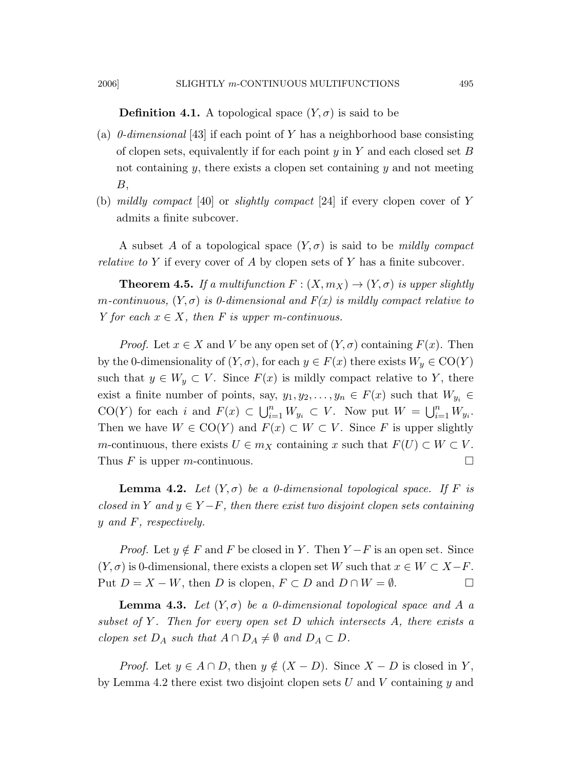#### 2006] SLIGHTLY m-CONTINUOUS MULTIFUNCTIONS 495

### **Definition 4.1.** A topological space  $(Y, \sigma)$  is said to be

- (a)  $0$ -dimensional [43] if each point of Y has a neighborhood base consisting of clopen sets, equivalently if for each point  $y$  in Y and each closed set B not containing  $y$ , there exists a clopen set containing  $y$  and not meeting  $B,$
- (b) mildly compact [40] or slightly compact [24] if every clopen cover of Y admits a finite subcover.

A subset A of a topological space  $(Y, \sigma)$  is said to be mildly compact *relative to* Y if every cover of A by clopen sets of Y has a finite subcover.

**Theorem 4.5.** If a multifunction  $F : (X, m_X) \to (Y, \sigma)$  is upper slightly m-continuous,  $(Y, \sigma)$  is 0-dimensional and  $F(x)$  is mildly compact relative to Y for each  $x \in X$ , then F is upper m-continuous.

*Proof.* Let  $x \in X$  and V be any open set of  $(Y, \sigma)$  containing  $F(x)$ . Then by the 0-dimensionality of  $(Y, \sigma)$ , for each  $y \in F(x)$  there exists  $W_y \in CO(Y)$ such that  $y \in W_y \subset V$ . Since  $F(x)$  is mildly compact relative to Y, there exist a finite number of points, say,  $y_1, y_2, \ldots, y_n \in F(x)$  such that  $W_{y_i} \in$ CO(Y) for each i and  $F(x) \subset \bigcup_{i=1}^n W_{y_i} \subset V$ . Now put  $W = \bigcup_{i=1}^n W_{y_i}$ . Then we have  $W \in \text{CO}(Y)$  and  $F(x) \subset W \subset V$ . Since F is upper slightly m-continuous, there exists  $U \in m_X$  containing x such that  $F(U) \subset W \subset V$ . Thus F is upper m-continuous.  $\square$ 

**Lemma 4.2.** Let  $(Y, \sigma)$  be a 0-dimensional topological space. If F is closed in Y and  $y \in Y - F$ , then there exist two disjoint clopen sets containing y and F, respectively.

*Proof.* Let  $y \notin F$  and F be closed in Y. Then  $Y - F$  is an open set. Since  $(Y, \sigma)$  is 0-dimensional, there exists a clopen set W such that  $x \in W \subset X-F$ . Put  $D = X - W$ , then D is clopen,  $F \subset D$  and  $D \cap W = \emptyset$ .

**Lemma 4.3.** Let  $(Y, \sigma)$  be a 0-dimensional topological space and A a subset of Y. Then for every open set D which intersects  $A$ , there exists a clopen set  $D_A$  such that  $A \cap D_A \neq \emptyset$  and  $D_A \subset D$ .

*Proof.* Let  $y \in A \cap D$ , then  $y \notin (X - D)$ . Since  $X - D$  is closed in Y, by Lemma 4.2 there exist two disjoint clopen sets U and V containing  $y$  and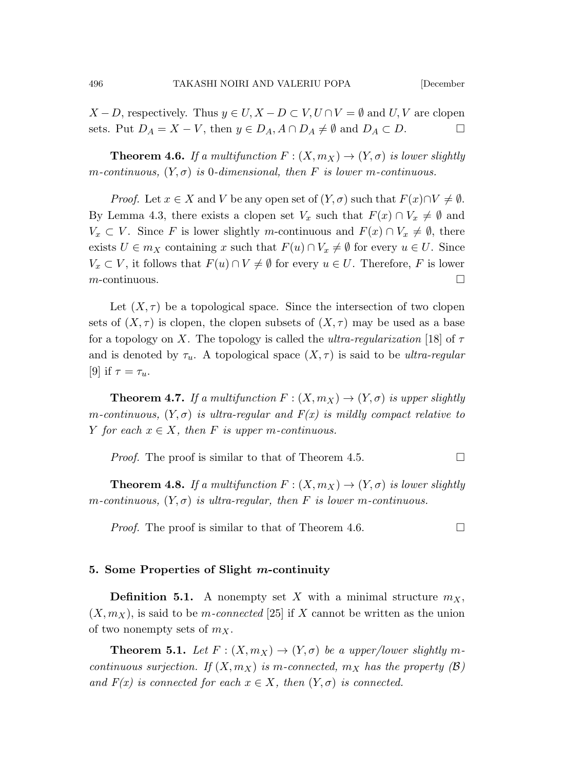$X - D$ , respectively. Thus  $y \in U, X - D \subset V, U \cap V = \emptyset$  and  $U, V$  are clopen sets. Put  $D_A = X - V$ , then  $y \in D_A$ ,  $A \cap D_A \neq \emptyset$  and  $D_A \subset D$ .

**Theorem 4.6.** If a multifunction  $F : (X, m_X) \to (Y, \sigma)$  is lower slightly m-continuous,  $(Y, \sigma)$  is 0-dimensional, then F is lower m-continuous.

*Proof.* Let  $x \in X$  and V be any open set of  $(Y, \sigma)$  such that  $F(x) \cap V \neq \emptyset$ . By Lemma 4.3, there exists a clopen set  $V_x$  such that  $F(x) \cap V_x \neq \emptyset$  and  $V_x \subset V$ . Since F is lower slightly m-continuous and  $F(x) \cap V_x \neq \emptyset$ , there exists  $U \in m_X$  containing x such that  $F(u) \cap V_x \neq \emptyset$  for every  $u \in U$ . Since  $V_x \subset V$ , it follows that  $F(u) \cap V \neq \emptyset$  for every  $u \in U$ . Therefore, F is lower  $m$ -continuous.

Let  $(X, \tau)$  be a topological space. Since the intersection of two clopen sets of  $(X, \tau)$  is clopen, the clopen subsets of  $(X, \tau)$  may be used as a base for a topology on X. The topology is called the ultra-regularization [18] of  $\tau$ and is denoted by  $\tau_u$ . A topological space  $(X, \tau)$  is said to be ultra-regular [9] if  $\tau = \tau_u$ .

**Theorem 4.7.** If a multifunction  $F : (X, m_X) \to (Y, \sigma)$  is upper slightly m-continuous,  $(Y, \sigma)$  is ultra-regular and  $F(x)$  is mildly compact relative to Y for each  $x \in X$ , then F is upper m-continuous.

*Proof.* The proof is similar to that of Theorem 4.5.

**Theorem 4.8.** If a multifunction  $F : (X, m_X) \to (Y, \sigma)$  is lower slightly m-continuous,  $(Y, \sigma)$  is ultra-regular, then F is lower m-continuous.

*Proof.* The proof is similar to that of Theorem 4.6.

### 5. Some Properties of Slight m-continuity

**Definition 5.1.** A nonempty set X with a minimal structure  $m_X$ ,  $(X, m_X)$ , is said to be *m-connected* [25] if X cannot be written as the union of two nonempty sets of  $m_X$ .

**Theorem 5.1.** Let  $F: (X, m_X) \to (Y, \sigma)$  be a upper/lower slightly mcontinuous surjection. If  $(X, m_X)$  is m-connected,  $m_X$  has the property  $(\mathcal{B})$ and  $F(x)$  is connected for each  $x \in X$ , then  $(Y, \sigma)$  is connected.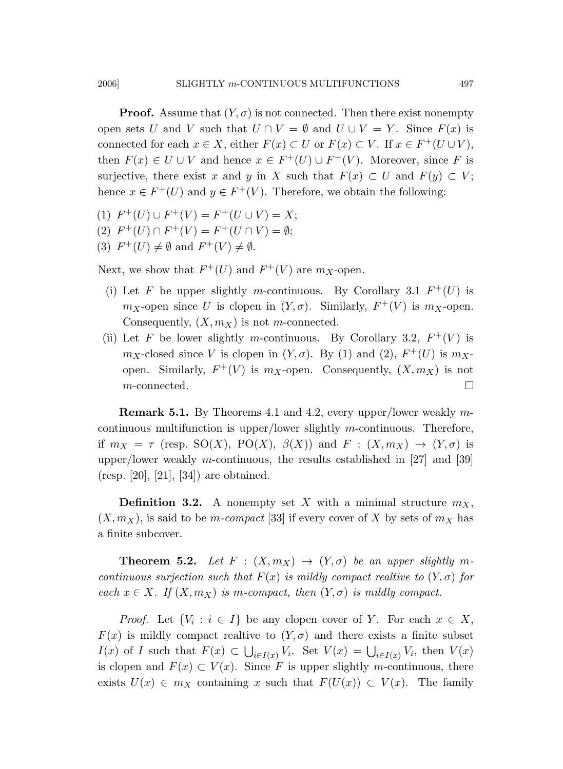**Proof.** Assume that  $(Y, \sigma)$  is not connected. Then there exist nonempty open sets U and V such that  $U \cap V = \emptyset$  and  $U \cup V = Y$ . Since  $F(x)$  is connected for each  $x \in X$ , either  $F(x) \subset U$  or  $F(x) \subset V$ . If  $x \in F^+(U \cup V)$ , then  $F(x) \in U \cup V$  and hence  $x \in F^+(U) \cup F^+(V)$ . Moreover, since F is surjective, there exist x and y in X such that  $F(x) \subset U$  and  $F(y) \subset V$ ; hence  $x \in F^+(U)$  and  $y \in F^+(V)$ . Therefore, we obtain the following:

- (1)  $F^+(U) \cup F^+(V) = F^+(U \cup V) = X;$
- (2)  $F^+(U) \cap F^+(V) = F^+(U \cap V) = \emptyset;$
- (3)  $F^+(U) \neq \emptyset$  and  $F^+(V) \neq \emptyset$ .

Next, we show that  $F^+(U)$  and  $F^+(V)$  are  $m_X$ -open.

- (i) Let F be upper slightly m-continuous. By Corollary 3.1  $F^+(U)$  is  $m_X$ -open since U is clopen in  $(Y, \sigma)$ . Similarly,  $F^+(V)$  is  $m_X$ -open. Consequently,  $(X, m_X)$  is not m-connected.
- (ii) Let F be lower slightly m-continuous. By Corollary 3.2,  $F^+(V)$  is  $m_X$ -closed since V is clopen in  $(Y, \sigma)$ . By (1) and (2),  $F^+(U)$  is  $m_X$ open. Similarly,  $F^+(V)$  is  $m_X$ -open. Consequently,  $(X, m_X)$  is not  $m\text{-connected}$ .

Remark 5.1. By Theorems 4.1 and 4.2, every upper/lower weakly mcontinuous multifunction is upper/lower slightly m-continuous. Therefore, if  $m_X = \tau$  (resp. SO(X), PO(X),  $\beta(X)$ ) and  $F : (X, m_X) \to (Y, \sigma)$  is upper/lower weakly m-continuous, the results established in  $[27]$  and  $[39]$ (resp. [20], [21], [34]) are obtained.

**Definition 3.2.** A nonempty set X with a minimal structure  $m_X$ ,  $(X, m_X)$ , is said to be *m*-compact [33] if every cover of X by sets of  $m_X$  has a finite subcover.

**Theorem 5.2.** Let  $F : (X, m_X) \to (Y, \sigma)$  be an upper slightly mcontinuous surjection such that  $F(x)$  is mildly compact realtive to  $(Y, \sigma)$  for each  $x \in X$ . If  $(X, m_X)$  is m-compact, then  $(Y, \sigma)$  is mildly compact.

*Proof.* Let  $\{V_i : i \in I\}$  be any clopen cover of Y. For each  $x \in X$ ,  $F(x)$  is mildly compact realtive to  $(Y, \sigma)$  and there exists a finite subset  $I(x)$  of I such that  $F(x) \subset \bigcup_{i \in I(x)} V_i$ . Set  $V(x) = \bigcup_{i \in I(x)} V_i$ , then  $V(x)$ is clopen and  $F(x) \subset V(x)$ . Since F is upper slightly m-continuous, there exists  $U(x) \in m_X$  containing x such that  $F(U(x)) \subset V(x)$ . The family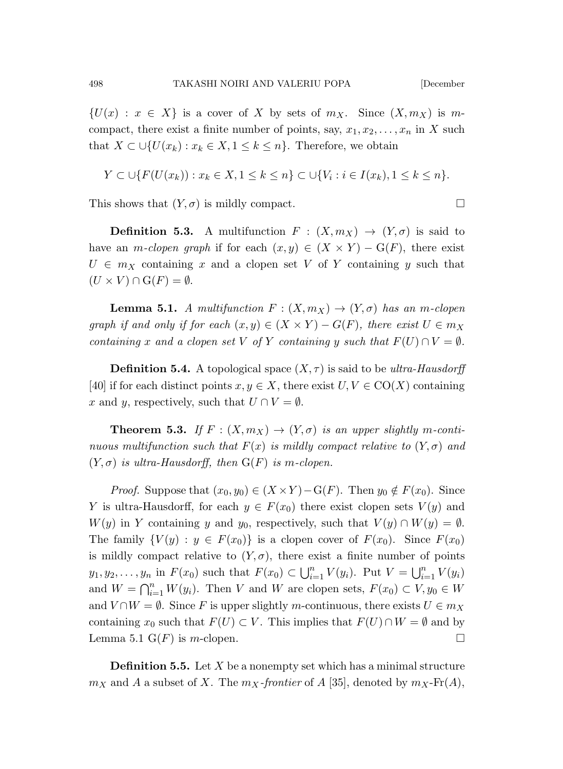$\{U(x) : x \in X\}$  is a cover of X by sets of  $m_X$ . Since  $(X, m_X)$  is mcompact, there exist a finite number of points, say,  $x_1, x_2, \ldots, x_n$  in X such that  $X \subset \bigcup \{U(x_k) : x_k \in X, 1 \leq k \leq n\}$ . Therefore, we obtain

$$
Y \subset \bigcup \{ F(U(x_k)) : x_k \in X, 1 \le k \le n \} \subset \bigcup \{ V_i : i \in I(x_k), 1 \le k \le n \}.
$$

This shows that  $(Y, \sigma)$  is mildly compact.

**Definition 5.3.** A multifunction  $F : (X, m_X) \to (Y, \sigma)$  is said to have an *m-clopen graph* if for each  $(x, y) \in (X \times Y) - G(F)$ , there exist  $U \in m_X$  containing x and a clopen set V of Y containing y such that  $(U \times V) \cap G(F) = \emptyset.$ 

**Lemma 5.1.** A multifunction  $F : (X, m_X) \to (Y, \sigma)$  has an m-clopen graph if and only if for each  $(x, y) \in (X \times Y) - G(F)$ , there exist  $U \in m_X$ containing x and a clopen set V of Y containing y such that  $F(U) \cap V = \emptyset$ .

**Definition 5.4.** A topological space  $(X, \tau)$  is said to be ultra-Hausdorff [40] if for each distinct points  $x, y \in X$ , there exist  $U, V \in \text{CO}(X)$  containing x and y, respectively, such that  $U \cap V = \emptyset$ .

**Theorem 5.3.** If  $F : (X, m_X) \to (Y, \sigma)$  is an upper slightly m-continuous multifunction such that  $F(x)$  is mildly compact relative to  $(Y, \sigma)$  and  $(Y, \sigma)$  is ultra-Hausdorff, then  $G(F)$  is m-clopen.

*Proof.* Suppose that  $(x_0, y_0) \in (X \times Y) - G(F)$ . Then  $y_0 \notin F(x_0)$ . Since Y is ultra-Hausdorff, for each  $y \in F(x_0)$  there exist clopen sets  $V(y)$  and  $W(y)$  in Y containing y and y<sub>0</sub>, respectively, such that  $V(y) \cap W(y) = \emptyset$ . The family  $\{V(y): y \in F(x_0)\}\$ is a clopen cover of  $F(x_0)$ . Since  $F(x_0)$ is mildly compact relative to  $(Y, \sigma)$ , there exist a finite number of points  $y_1, y_2, \ldots, y_n$  in  $F(x_0)$  such that  $F(x_0) \subset \bigcup_{i=1}^n V(y_i)$ . Put  $V = \bigcup_{i=1}^n V(y_i)$ and  $W = \bigcap_{i=1}^{n} W(y_i)$ . Then V and W are clopen sets,  $F(x_0) \subset V, y_0 \in W$ and  $V \cap W = \emptyset$ . Since F is upper slightly m-continuous, there exists  $U \in m_X$ containing  $x_0$  such that  $F(U) \subset V$ . This implies that  $F(U) \cap W = \emptyset$  and by Lemma 5.1  $G(F)$  is *m*-clopen.

**Definition 5.5.** Let  $X$  be a nonempty set which has a minimal structure  $m_X$  and A a subset of X. The  $m_X$ -frontier of A [35], denoted by  $m_X$ -Fr(A),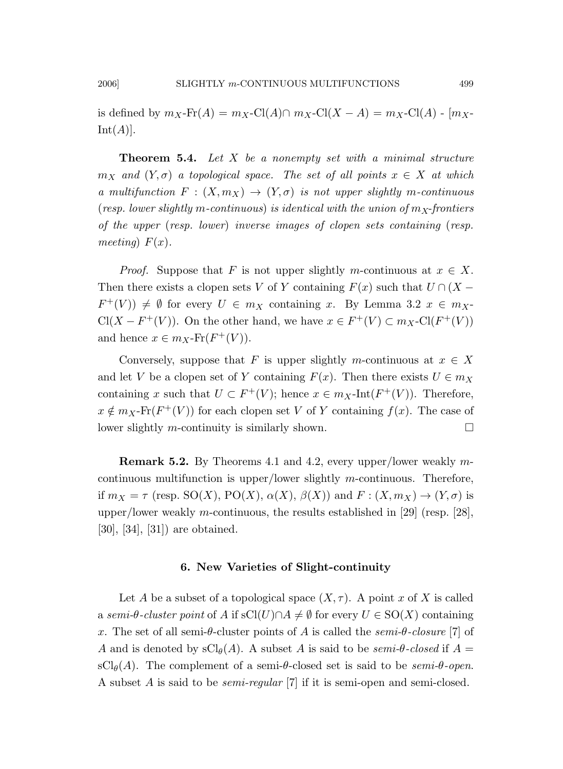is defined by  $m_X$ -Fr $(A) = m_X$ -Cl $(A) \cap m_X$ -Cl $(X - A) = m_X$ -Cl $(A)$  -  $[m_X Int(A)].$ 

**Theorem 5.4.** Let  $X$  be a nonempty set with a minimal structure  $m_X$  and  $(Y, \sigma)$  a topological space. The set of all points  $x \in X$  at which a multifunction  $F : (X, m_X) \to (Y, \sigma)$  is not upper slightly m-continuous (resp. lower slightly m-continuous) is identical with the union of  $m<sub>X</sub>$ -frontiers of the upper (resp. lower) inverse images of clopen sets containing (resp. meeting)  $F(x)$ .

*Proof.* Suppose that F is not upper slightly m-continuous at  $x \in X$ . Then there exists a clopen sets V of Y containing  $F(x)$  such that  $U \cap (X F^+(V)$   $\neq \emptyset$  for every  $U \in m_X$  containing x. By Lemma 3.2  $x \in m_X$  $Cl(X - F^+(V))$ . On the other hand, we have  $x \in F^+(V) \subset m_X\text{-}Cl(F^+(V))$ and hence  $x \in m_X$ -Fr $(F^+(V))$ .

Conversely, suppose that F is upper slightly m-continuous at  $x \in X$ and let V be a clopen set of Y containing  $F(x)$ . Then there exists  $U \in m_X$ containing x such that  $U \subset F^+(V)$ ; hence  $x \in m_X\text{-Int}(F^+(V))$ . Therefore,  $x \notin m_X$ -Fr $(F^+(V))$  for each clopen set V of Y containing  $f(x)$ . The case of lower slightly *m*-continuity is similarly shown.  $\square$ 

Remark 5.2. By Theorems 4.1 and 4.2, every upper/lower weakly mcontinuous multifunction is upper/lower slightly m-continuous. Therefore, if  $m_X = \tau$  (resp. SO(X), PO(X),  $\alpha(X)$ ,  $\beta(X)$ ) and  $F : (X, m_X) \to (Y, \sigma)$  is upper/lower weakly m-continuous, the results established in [29] (resp. [28], [30], [34], [31]) are obtained.

## 6. New Varieties of Slight-continuity

Let A be a subset of a topological space  $(X, \tau)$ . A point x of X is called a semi- $\theta$ -cluster point of A if sCl(U)∩ $A \neq \emptyset$  for every  $U \in SO(X)$  containing x. The set of all semi-θ-cluster points of A is called the semi-θ-closure [7] of A and is denoted by  $\mathrm{sCl}_{\theta}(A)$ . A subset A is said to be semi-θ-closed if  $A =$  $\mathrm{sCl}_{\theta}(A)$ . The complement of a semi-θ-closed set is said to be *semi-θ-open*. A subset A is said to be semi-regular [7] if it is semi-open and semi-closed.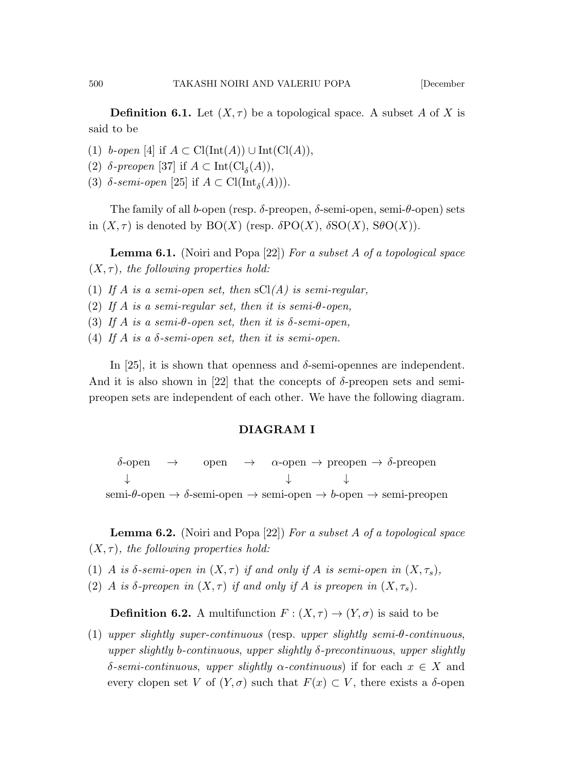**Definition 6.1.** Let  $(X, \tau)$  be a topological space. A subset A of X is said to be

(1) b-open [4] if  $A \subset \text{Cl}(\text{Int}(A)) \cup \text{Int}(\text{Cl}(A)),$ 

- (2)  $\delta$ -preopen [37] if  $A \subset \text{Int}(\text{Cl}_{\delta}(A)),$
- (3)  $\delta$ -semi-open [25] if  $A \subset \text{Cl}(\text{Int}_{\delta}(A)))$ .

The family of all b-open (resp.  $\delta$ -preopen,  $\delta$ -semi-open, semi- $\theta$ -open) sets in  $(X, \tau)$  is denoted by  $BO(X)$  (resp.  $\delta PO(X)$ ,  $\delta SO(X)$ ,  $SO(X)$ ).

**Lemma 6.1.** (Noiri and Popa [22]) For a subset A of a topological space  $(X, \tau)$ , the following properties hold:

(1) If A is a semi-open set, then  $\mathrm{sCl}(A)$  is semi-regular,

(2) If A is a semi-regular set, then it is semi- $\theta$ -open,

(3) If A is a semi- $\theta$ -open set, then it is  $\delta$ -semi-open,

(4) If A is a  $\delta$ -semi-open set, then it is semi-open.

In [25], it is shown that openness and  $\delta$ -semi-opennes are independent. And it is also shown in [22] that the concepts of  $\delta$ -preopen sets and semipreopen sets are independent of each other. We have the following diagram.

# DIAGRAM I

 $\delta$ -open  $\rightarrow$  open  $\rightarrow$   $\alpha$ -open  $\rightarrow$  preopen  $\rightarrow$   $\delta$ -preopen ↓ ↓ ↓ semi- $\theta$ -open  $\rightarrow \delta$ -semi-open  $\rightarrow$  semi-open  $\rightarrow b$ -open  $\rightarrow$  semi-preopen

**Lemma 6.2.** (Noiri and Popa [22]) For a subset A of a topological space  $(X, \tau)$ , the following properties hold:

- (1) A is  $\delta$ -semi-open in  $(X, \tau)$  if and only if A is semi-open in  $(X, \tau_s)$ ,
- (2) A is δ-preopen in  $(X, \tau)$  if and only if A is preopen in  $(X, \tau_s)$ .

**Definition 6.2.** A multifunction  $F : (X, \tau) \to (Y, \sigma)$  is said to be

(1) upper slightly super-continuous (resp. upper slightly semi-θ-continuous, upper slightly b-continuous, upper slightly  $\delta$ -precontinuous, upper slightly δ-semi-continuous, upper slightly  $\alpha$ -continuous) if for each  $x \in X$  and every clopen set V of  $(Y, \sigma)$  such that  $F(x) \subset V$ , there exists a  $\delta$ -open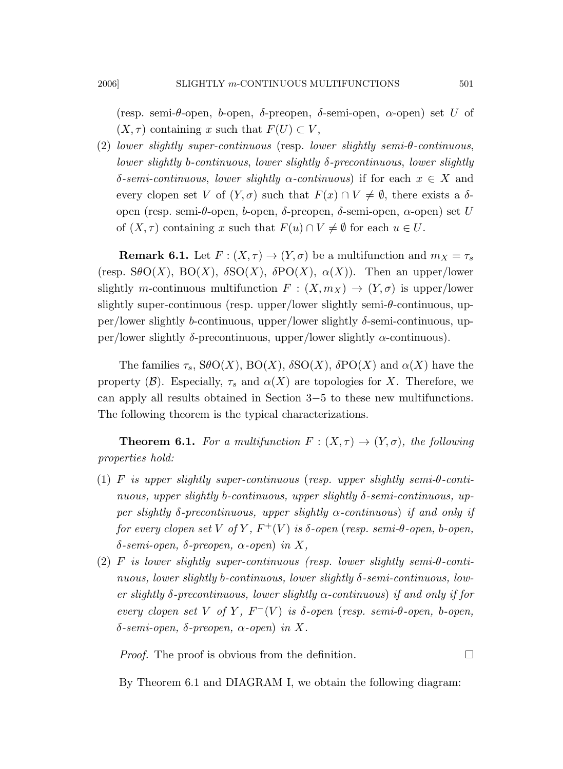(resp. semi- $\theta$ -open,  $\phi$ -open,  $\delta$ -preopen,  $\delta$ -semi-open,  $\alpha$ -open) set U of  $(X, \tau)$  containing x such that  $F(U) \subset V$ ,

(2) lower slightly super-continuous (resp. lower slightly semi-θ-continuous, lower slightly b-continuous, lower slightly δ-precontinuous, lower slightly δ-semi-continuous, lower slightly  $\alpha$ -continuous) if for each  $x \in X$  and every clopen set V of  $(Y, \sigma)$  such that  $F(x) \cap V \neq \emptyset$ , there exists a  $\delta$ open (resp. semi-θ-open, b-open, δ-preopen, δ-semi-open, α-open) set U of  $(X, \tau)$  containing x such that  $F(u) \cap V \neq \emptyset$  for each  $u \in U$ .

**Remark 6.1.** Let  $F: (X, \tau) \to (Y, \sigma)$  be a multifunction and  $m_X = \tau_s$ (resp.  $S\theta O(X)$ ,  $BO(X)$ ,  $\delta SO(X)$ ,  $\delta PO(X)$ ,  $\alpha(X)$ ). Then an upper/lower slightly m-continuous multifunction  $F : (X, m_X) \to (Y, \sigma)$  is upper/lower slightly super-continuous (resp. upper/lower slightly semi-θ-continuous, upper/lower slightly b-continuous, upper/lower slightly  $\delta$ -semi-continuous, upper/lower slightly δ-precontinuous, upper/lower slightly α-continuous).

The families  $\tau_s$ ,  $S\theta O(X)$ ,  $BO(X)$ ,  $\delta SO(X)$ ,  $\delta PO(X)$  and  $\alpha(X)$  have the property (B). Especially,  $\tau_s$  and  $\alpha(X)$  are topologies for X. Therefore, we can apply all results obtained in Section 3−5 to these new multifunctions. The following theorem is the typical characterizations.

**Theorem 6.1.** For a multifunction  $F : (X, \tau) \to (Y, \sigma)$ , the following properties hold:

- (1) F is upper slightly super-continuous (resp. upper slightly semi- $\theta$ -continuous, upper slightly b-continuous, upper slightly δ-semi-continuous, upper slightly  $\delta$ -precontinuous, upper slightly  $\alpha$ -continuous) if and only if for every clopen set V of Y,  $F^+(V)$  is  $\delta$ -open (resp. semi- $\theta$ -open,  $b$ -open, δ-semi-open, δ-preopen, α-open) in X,
- (2) F is lower slightly super-continuous (resp. lower slightly semi- $\theta$ -continuous, lower slightly b-continuous, lower slightly δ-semi-continuous, lower slightly δ-precontinuous, lower slightly  $\alpha$ -continuous) if and only if for every clopen set V of Y,  $F^-(V)$  is  $\delta$ -open (resp. semi- $\theta$ -open,  $b$ -open, δ-semi-open, δ-preopen, α-open) in X.

*Proof.* The proof is obvious from the definition.  $\Box$ 

By Theorem 6.1 and DIAGRAM I, we obtain the following diagram: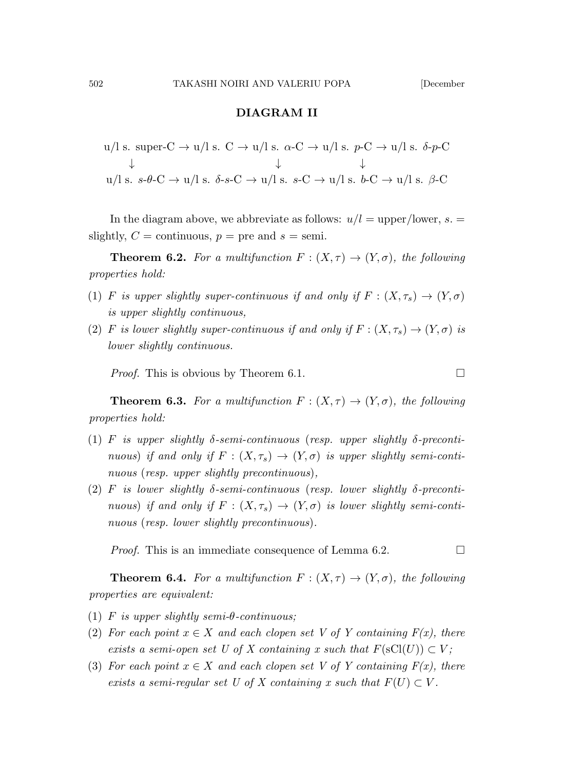# DIAGRAM II

$$
u/l s. super-C \rightarrow u/l s. C \rightarrow u/l s. \alpha-C \rightarrow u/l s. p-C \rightarrow u/l s. \delta-p-C
$$
  
\n
$$
\downarrow \qquad \qquad \downarrow
$$
  
\n
$$
u/l s. s-\theta-C \rightarrow u/l s. \delta-s-C \rightarrow u/l s. s-C \rightarrow u/l s. \delta-C \rightarrow u/l s. \beta-C
$$

In the diagram above, we abbreviate as follows:  $u/l = \text{upper/lower}, s. =$ slightly,  $C =$  continuous,  $p =$  pre and  $s =$  semi.

**Theorem 6.2.** For a multifunction  $F : (X, \tau) \to (Y, \sigma)$ , the following properties hold:

- (1) F is upper slightly super-continuous if and only if  $F : (X, \tau_s) \to (Y, \sigma)$ is upper slightly continuous,
- (2) F is lower slightly super-continuous if and only if  $F : (X, \tau_s) \to (Y, \sigma)$  is lower slightly continuous.

*Proof.* This is obvious by Theorem 6.1.

**Theorem 6.3.** For a multifunction  $F : (X, \tau) \to (Y, \sigma)$ , the following properties hold:

- (1) F is upper slightly  $\delta$ -semi-continuous (resp. upper slightly  $\delta$ -precontinuous) if and only if  $F : (X, \tau_s) \to (Y, \sigma)$  is upper slightly semi-continuous (resp. upper slightly precontinuous),
- (2) F is lower slightly  $\delta$ -semi-continuous (resp. lower slightly  $\delta$ -precontinuous) if and only if  $F : (X, \tau_s) \to (Y, \sigma)$  is lower slightly semi-continuous (resp. lower slightly precontinuous).

*Proof.* This is an immediate consequence of Lemma 6.2.  $\Box$ 

**Theorem 6.4.** For a multifunction  $F: (X, \tau) \to (Y, \sigma)$ , the following properties are equivalent:

- (1) F is upper slightly semi- $\theta$ -continuous;
- (2) For each point  $x \in X$  and each clopen set V of Y containing  $F(x)$ , there exists a semi-open set U of X containing x such that  $F(\mathrm{sCl}(U)) \subset V$ ;
- (3) For each point  $x \in X$  and each clopen set V of Y containing  $F(x)$ , there exists a semi-regular set U of X containing x such that  $F(U) \subset V$ .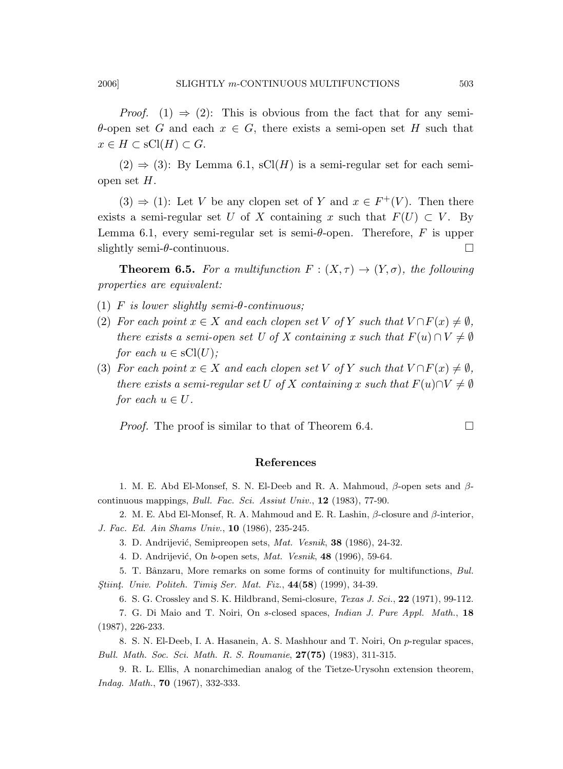$\theta$ -open set G and each  $x \in G$ , there exists a semi-open set H such that  $x \in H \subset \mathrm{sCl}(H) \subset G.$ 

 $(2) \Rightarrow (3)$ : By Lemma 6.1, sCl(H) is a semi-regular set for each semiopen set  $H$ .

 $(3) \Rightarrow (1)$ : Let V be any clopen set of Y and  $x \in F^+(V)$ . Then there exists a semi-regular set U of X containing x such that  $F(U) \subset V$ . By Lemma 6.1, every semi-regular set is semi- $\theta$ -open. Therefore, F is upper slightly semi-θ-continuous. □

**Theorem 6.5.** For a multifunction  $F : (X, \tau) \to (Y, \sigma)$ , the following properties are equivalent:

- (1) F is lower slightly semi- $\theta$ -continuous;
- (2) For each point  $x \in X$  and each clopen set V of Y such that  $V \cap F(x) \neq \emptyset$ , there exists a semi-open set U of X containing x such that  $F(u) \cap V \neq \emptyset$ for each  $u \in sCl(U)$ ;
- (3) For each point  $x \in X$  and each clopen set V of Y such that  $V \cap F(x) \neq \emptyset$ , there exists a semi-regular set U of X containing x such that  $F(u) \cap V \neq \emptyset$ for each  $u \in U$ .

*Proof.* The proof is similar to that of Theorem 6.4.  $\Box$ 

# References

1. M. E. Abd El-Monsef, S. N. El-Deeb and R. A. Mahmoud,  $\beta$ -open sets and  $\beta$ continuous mappings, Bull. Fac. Sci. Assiut Univ., 12 (1983), 77-90.

- 2. M. E. Abd El-Monsef, R. A. Mahmoud and E. R. Lashin,  $\beta$ -closure and  $\beta$ -interior, J. Fac. Ed. Ain Shams Univ., 10 (1986), 235-245.
	- 3. D. Andrijević, Semipreopen sets, Mat. Vesnik, 38 (1986), 24-32.
	- 4. D. Andrijević, On b-open sets, *Mat. Vesnik*, **48** (1996), 59-64.

5. T. Bânzaru, More remarks on some forms of continuity for multifunctions, Bul. Stiint. Univ. Politeh. Timiş Ser. Mat. Fiz., 44(58) (1999), 34-39.

6. S. G. Crossley and S. K. Hildbrand, Semi-closure, Texas J. Sci., 22 (1971), 99-112.

7. G. Di Maio and T. Noiri, On s-closed spaces, Indian J. Pure Appl. Math., 18 (1987), 226-233.

8. S. N. El-Deeb, I. A. Hasanein, A. S. Mashhour and T. Noiri, On p-regular spaces, Bull. Math. Soc. Sci. Math. R. S. Roumanie, 27(75) (1983), 311-315.

9. R. L. Ellis, A nonarchimedian analog of the Tietze-Urysohn extension theorem, Indag. Math., 70 (1967), 332-333.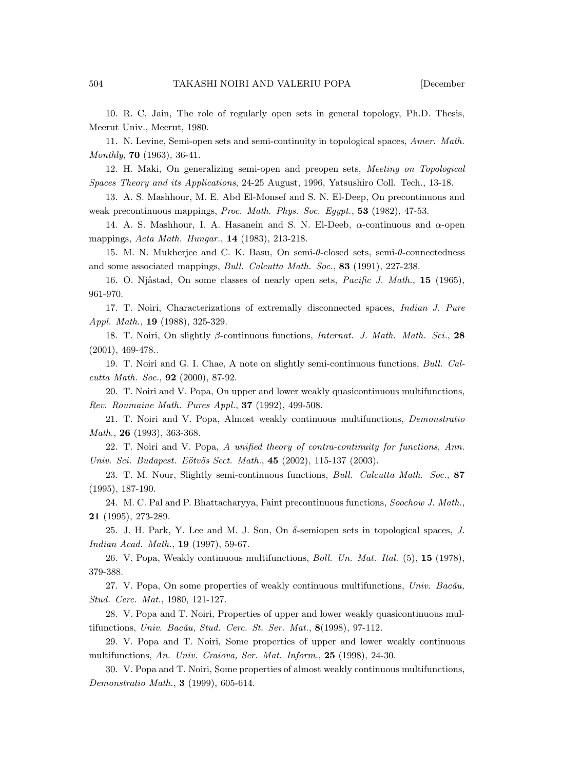10. R. C. Jain, The role of regularly open sets in general topology, Ph.D. Thesis, Meerut Univ., Meerut, 1980.

11. N. Levine, Semi-open sets and semi-continuity in topological spaces, Amer. Math. Monthly, 70 (1963), 36-41.

12. H. Maki, On generalizing semi-open and preopen sets, Meeting on Topological Spaces Theory and its Applications, 24-25 August, 1996, Yatsushiro Coll. Tech., 13-18.

13. A. S. Mashhour, M. E. Abd El-Monsef and S. N. El-Deep, On precontinuous and weak precontinuous mappings, Proc. Math. Phys. Soc. Egypt., 53 (1982), 47-53.

14. A. S. Mashhour, I. A. Hasanein and S. N. El-Deeb,  $\alpha$ -continuous and  $\alpha$ -open mappings, Acta Math. Hungar., 14 (1983), 213-218.

15. M. N. Mukherjee and C. K. Basu, On semi-θ-closed sets, semi-θ-connectedness and some associated mappings, Bull. Calcutta Math. Soc., 83 (1991), 227-238.

16. O. Njåstad, On some classes of nearly open sets, Pacific J. Math., 15 (1965), 961-970.

17. T. Noiri, Characterizations of extremally disconnected spaces, Indian J. Pure Appl. Math., 19 (1988), 325-329.

18. T. Noiri, On slightly β-continuous functions, Internat. J. Math. Math. Sci., 28  $(2001), 469-478.$ 

19. T. Noiri and G. I. Chae, A note on slightly semi-continuous functions, Bull. Calcutta Math. Soc., 92 (2000), 87-92.

20. T. Noiri and V. Popa, On upper and lower weakly quasicontinuous multifunctions, Rev. Roumaine Math. Pures Appl., 37 (1992), 499-508.

21. T. Noiri and V. Popa, Almost weakly continuous multifunctions, Demonstratio Math., **26** (1993), 363-368.

22. T. Noiri and V. Popa, A unified theory of contra-continuity for functions, Ann. Univ. Sci. Budapest. Eötvös Sect. Math., 45 (2002), 115-137 (2003).

23. T. M. Nour, Slightly semi-continuous functions, Bull. Calcutta Math. Soc., 87 (1995), 187-190.

24. M. C. Pal and P. Bhattacharyya, Faint precontinuous functions, Soochow J. Math., 21 (1995), 273-289.

25. J. H. Park, Y. Lee and M. J. Son, On  $\delta$ -semiopen sets in topological spaces, J. Indian Acad. Math., 19 (1997), 59-67.

26. V. Popa, Weakly continuous multifunctions, Boll. Un. Mat. Ital. (5), 15 (1978), 379-388.

27. V. Popa, On some properties of weakly continuous multifunctions, Univ. Bacău, Stud. Cerc. Mat., 1980, 121-127.

28. V. Popa and T. Noiri, Properties of upper and lower weakly quasicontinuous multifunctions, Univ. Bacău, Stud. Cerc. St. Ser. Mat.,  $8(1998)$ , 97-112.

29. V. Popa and T. Noiri, Some properties of upper and lower weakly continuous multifunctions, An. Univ. Craiova, Ser. Mat. Inform., 25 (1998), 24-30.

30. V. Popa and T. Noiri, Some properties of almost weakly continuous multifunctions, Demonstratio Math., 3 (1999), 605-614.